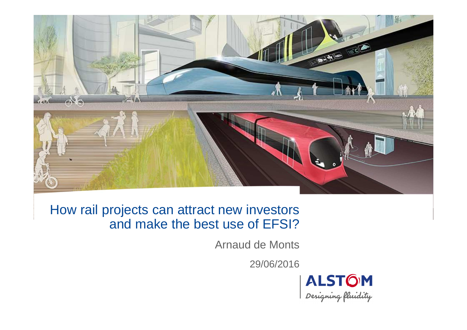

## How rail projects can attract new investors and make the best use of EFSI?

Arnaud de Monts

29/06/2016

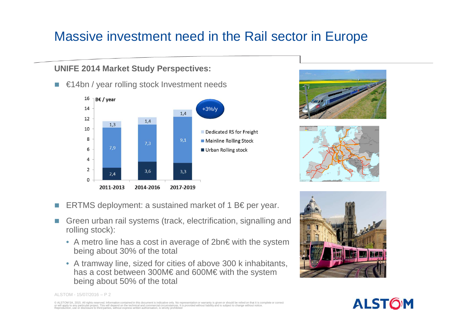# Massive investment need in the Rail sector in Europe

#### **UNIFE 2014 Market Study Perspectives:**

■ €14bn / year rolling stock Investment needs







- $\mathcal{L}^{\mathcal{L}}$ ERTMS deployment: a sustained market of 1 B€ per year.
- I. Green urban rail systems (track, electrification, signalling and rolling stock):
	- A metro line has a cost in average of 2bn€ with the system being about 30% of the total
	- A tramway line, sized for cities of above 300 k inhabitants, has a cost between 300M€ and 600M€ with the system being about 50% of the total





ALSTOM - 15/07/2016 – P 2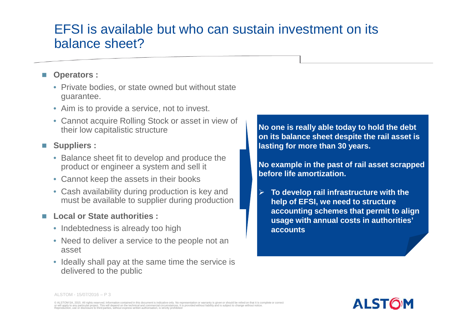## EFSI is available but who can sustain investment on its balance sheet?

### **Operators :**

- Private bodies, or state owned but without state guarantee.
- Aim is to provide a service, not to invest.
- Cannot acquire Rolling Stock or asset in view of their low capitalistic structure

## **Suppliers :**

- Balance sheet fit to develop and produce the product or engineer a system and sell it
- Cannot keep the assets in their books
- Cash availability during production is key and must be available to supplier during production

## **Local or State authorities :**

- Indebtedness is already too high
- Need to deliver a service to the people not an asset
- Ideally shall pay at the same time the service is delivered to the public

**No one is really able today to hold the debt on its balance sheet despite the rail asset is lasting for more than 30 years.** 

**No example in the past of rail asset scrapped before life amortization.**

 $\blacktriangleright$  **To develop rail infrastructure with the help of EFSI, we need to structure accounting schemes that permit to align usage with annual costs in authorities' accounts**



ALSTOM - 15/07/2016 – P 3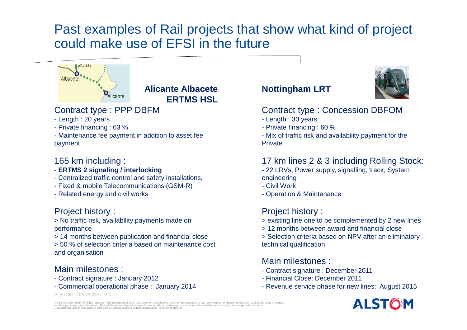## Past examples of Rail projects that show what kind of project could make use of EFSI in the future



#### **Alicante Albacete ERTMS HSL**

#### Contract type : PPP DBFM

- Length : 20 years
- Private financing : 63 %
- Maintenance fee payment in addition to asset fee payment

#### 165 km including :

- **ERTMS 2 signaling / interlocking**
- Centralized traffic control and safety installations,
- Fixed & mobile Telecommunications (GSM-R)
- Related energy and civil works

#### Project history :

 > No traffic risk, availability payments made on performance

- > 14 months between publication and financial close
- > 50 % of selection criteria based on maintenance cost and organisation

#### Main milestones :

- Contract signature : January 2012
- Commercial operational phase : January 2014

#### ALSTOM - 15/07/2016 – P 4

#### **Nottingham LRT**

#### Contract type : Concession DBFOM

- Length : 30 years
- Private financing : 60 %
- Mix of traffic risk and availability payment for the **Private**

#### 17 km lines 2 & 3 including Rolling Stock:

- 22 LRVs, Power supply, signalling, track, System
- engineering
- Civil Work
- Operation & Maintenance

#### Project history :

- > existing line one to be complemented by 2 new lines
- > 12 months between award and financial close
- > Selection criteria based on NPV after an eliminatorytechnical qualification

#### Main milestones :

- Contract signature : December 2011
- Financial Close: December 2011
- Revenue service phase for new lines: August 2015

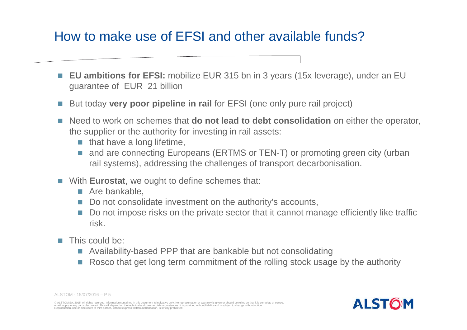## How to make use of EFSI and other available funds?

- $\mathcal{C}^{\mathcal{A}}$  **EU ambitions for EFSI:** mobilize EUR 315 bn in 3 years (15x leverage), under an EU guarantee of EUR 21 billion
- $\sim$ But today **very poor pipeline in rail** for EFSI (one only pure rail project)
- $\mathcal{L}_{\mathcal{A}}$  Need to work on schemes that **do not lead to debt consolidation** on either the operator, the supplier or the authority for investing in rail assets:
	- $\blacksquare$  that have a long lifetime,
	- F. and are connecting Europeans (ERTMS or TEN-T) or promoting green city (urban rail systems), addressing the challenges of transport decarbonisation.
- **Nith Eurostat, we ought to define schemes that:** 
	- Are bankable,
	- Do not consolidate investment on the authority's accounts,
	- Do not impose risks on the private sector that it cannot manage efficiently like traffic risk.
- **The Co**  This could be:
	- Availability-based PPP that are bankable but not consolidating
	- F. Rosco that get long term commitment of the rolling stock usage by the authority



ALSTOM - 15/07/2016 – P 5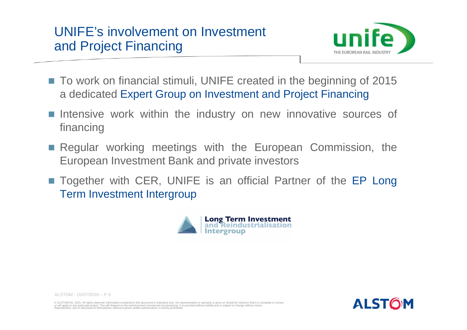

- To work on financial stimuli, UNIFE created in the beginning of 2015 <sup>a</sup> dedicated Expert Group on Investment and Project Financing
- Intensive work within the industry on new innovative sources of financing
- **Regular working meetings with the European Commission, the** European Investment Bank and private investors
- Together with CER, UNIFE is an official Partner of the EP Long Term Investment Intergroup